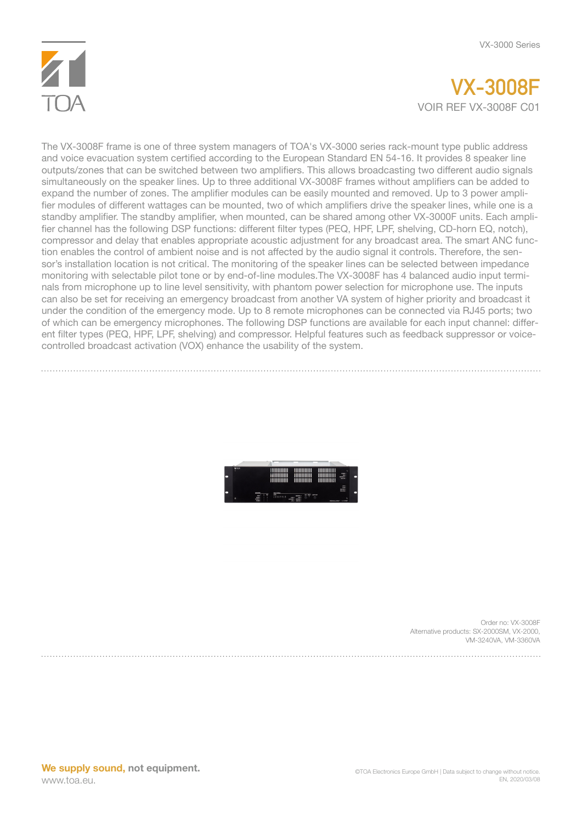

## **VX-3008F** VOIR REF VX-3008F C01

The VX-3008F frame is one of three system managers of TOA's VX-3000 series rack-mount type public address and voice evacuation system certified according to the European Standard EN 54-16. It provides 8 speaker line outputs/zones that can be switched between two amplifiers. This allows broadcasting two different audio signals simultaneously on the speaker lines. Up to three additional VX-3008F frames without amplifiers can be added to expand the number of zones. The amplifier modules can be easily mounted and removed. Up to 3 power amplifier modules of different wattages can be mounted, two of which amplifiers drive the speaker lines, while one is a standby amplifier. The standby amplifier, when mounted, can be shared among other VX-3000F units. Each amplifier channel has the following DSP functions: different filter types (PEQ, HPF, LPF, shelving, CD-horn EQ, notch), compressor and delay that enables appropriate acoustic adjustment for any broadcast area. The smart ANC function enables the control of ambient noise and is not affected by the audio signal it controls. Therefore, the sensor's installation location is not critical. The monitoring of the speaker lines can be selected between impedance monitoring with selectable pilot tone or by end-of-line modules.The VX-3008F has 4 balanced audio input terminals from microphone up to line level sensitivity, with phantom power selection for microphone use. The inputs can also be set for receiving an emergency broadcast from another VA system of higher priority and broadcast it under the condition of the emergency mode. Up to 8 remote microphones can be connected via RJ45 ports; two of which can be emergency microphones. The following DSP functions are available for each input channel: different filter types (PEQ, HPF, LPF, shelving) and compressor. Helpful features such as feedback suppressor or voicecontrolled broadcast activation (VOX) enhance the usability of the system.



Order no: VX-3008F Alternative products: SX-2000SM, VX-2000, VM-3240VA, VM-3360VA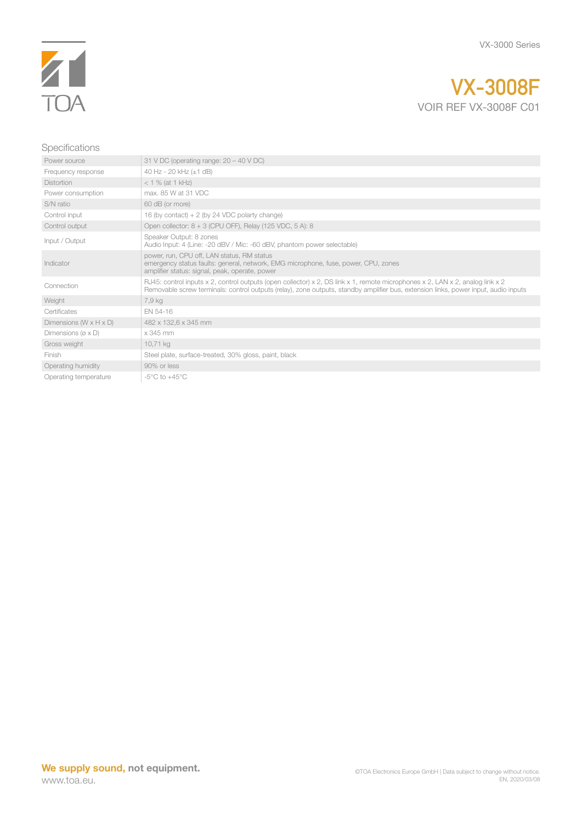

## **VX-3008F** VOIR REF VX-3008F C01

## Specifications

| Power source                          | 31 V DC (operating range: $20 - 40$ V DC)                                                                                                                                                                                                                            |
|---------------------------------------|----------------------------------------------------------------------------------------------------------------------------------------------------------------------------------------------------------------------------------------------------------------------|
| Frequency response                    | 40 Hz - 20 kHz (±1 dB)                                                                                                                                                                                                                                               |
| <b>Distortion</b>                     | $<$ 1 % (at 1 kHz)                                                                                                                                                                                                                                                   |
| Power consumption                     | max, 85 W at 31 VDC                                                                                                                                                                                                                                                  |
| S/N ratio                             | 60 dB (or more)                                                                                                                                                                                                                                                      |
| Control input                         | 16 (by contact) $+ 2$ (by 24 VDC polarty change)                                                                                                                                                                                                                     |
| Control output                        | Open collector: 8 + 3 (CPU OFF), Relay (125 VDC, 5 A): 8                                                                                                                                                                                                             |
| Input / Output                        | Speaker Output: 8 zones<br>Audio Input: 4 (Line: -20 dBV / Mic: -60 dBV, phantom power selectable)                                                                                                                                                                   |
| Indicator                             | power, run, CPU off, LAN status, RM status<br>emergency status faults: general, network, EMG microphone, fuse, power, CPU, zones<br>amplifier status: signal, peak, operate, power                                                                                   |
| Connection                            | RJ45: control inputs x 2, control outputs (open collector) x 2, DS link x 1, remote microphones x 2, LAN x 2, analog link x 2<br>Removable screw terminals: control outputs (relay), zone outputs, standby amplifier bus, extension links, power input, audio inputs |
| Weight                                | 7,9 kg                                                                                                                                                                                                                                                               |
| Certificates                          | EN 54-16                                                                                                                                                                                                                                                             |
| Dimensions $(W \times H \times D)$    | 482 x 132,6 x 345 mm                                                                                                                                                                                                                                                 |
| Dimensions ( $\varnothing \times D$ ) | x 345 mm                                                                                                                                                                                                                                                             |
| Gross weight                          | 10,71 kg                                                                                                                                                                                                                                                             |
| Finish                                | Steel plate, surface-treated, 30% gloss, paint, black                                                                                                                                                                                                                |
| Operating humidity                    | 90% or less                                                                                                                                                                                                                                                          |
| Operating temperature                 | $-5^{\circ}$ C to $+45^{\circ}$ C                                                                                                                                                                                                                                    |